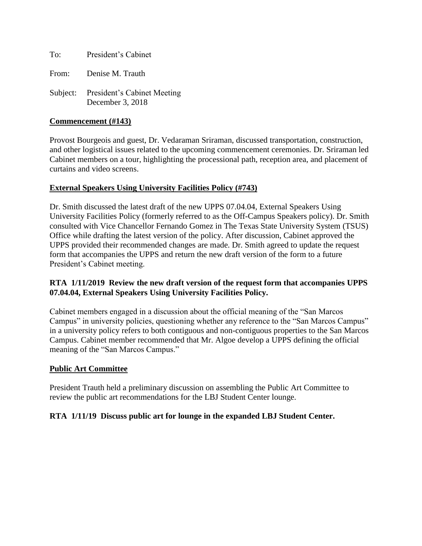To: President's Cabinet

From: Denise M. Trauth

Subject: President's Cabinet Meeting December 3, 2018

### **Commencement (#143)**

Provost Bourgeois and guest, Dr. Vedaraman Sriraman, discussed transportation, construction, and other logistical issues related to the upcoming commencement ceremonies. Dr. Sriraman led Cabinet members on a tour, highlighting the processional path, reception area, and placement of curtains and video screens.

#### **External Speakers Using University Facilities Policy (#743)**

Dr. Smith discussed the latest draft of the new UPPS 07.04.04, External Speakers Using University Facilities Policy (formerly referred to as the Off-Campus Speakers policy). Dr. Smith consulted with Vice Chancellor Fernando Gomez in The Texas State University System (TSUS) Office while drafting the latest version of the policy. After discussion, Cabinet approved the UPPS provided their recommended changes are made. Dr. Smith agreed to update the request form that accompanies the UPPS and return the new draft version of the form to a future President's Cabinet meeting.

# **RTA 1/11/2019 Review the new draft version of the request form that accompanies UPPS 07.04.04, External Speakers Using University Facilities Policy.**

Cabinet members engaged in a discussion about the official meaning of the "San Marcos Campus" in university policies, questioning whether any reference to the "San Marcos Campus" in a university policy refers to both contiguous and non-contiguous properties to the San Marcos Campus. Cabinet member recommended that Mr. Algoe develop a UPPS defining the official meaning of the "San Marcos Campus."

#### **Public Art Committee**

President Trauth held a preliminary discussion on assembling the Public Art Committee to review the public art recommendations for the LBJ Student Center lounge.

#### **RTA 1/11/19 Discuss public art for lounge in the expanded LBJ Student Center.**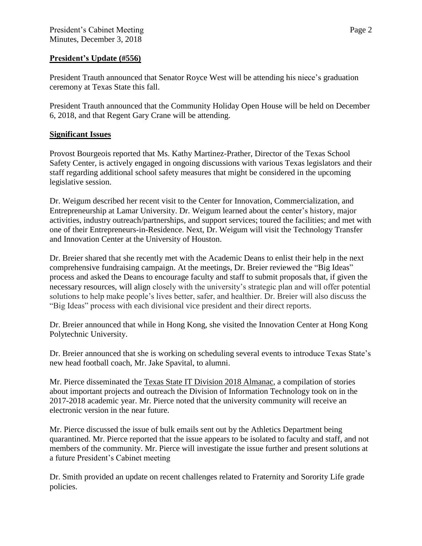# **President's Update (#556)**

President Trauth announced that Senator Royce West will be attending his niece's graduation ceremony at Texas State this fall.

President Trauth announced that the Community Holiday Open House will be held on December 6, 2018, and that Regent Gary Crane will be attending.

# **Significant Issues**

Provost Bourgeois reported that Ms. Kathy Martinez-Prather, Director of the Texas School Safety Center, is actively engaged in ongoing discussions with various Texas legislators and their staff regarding additional school safety measures that might be considered in the upcoming legislative session.

Dr. Weigum described her recent visit to the Center for Innovation, Commercialization, and Entrepreneurship at Lamar University. Dr. Weigum learned about the center's history, major activities, industry outreach/partnerships, and support services; toured the facilities; and met with one of their Entrepreneurs-in-Residence. Next, Dr. Weigum will visit the Technology Transfer and Innovation Center at the University of Houston.

Dr. Breier shared that she recently met with the Academic Deans to enlist their help in the next comprehensive fundraising campaign. At the meetings, Dr. Breier reviewed the "Big Ideas" process and asked the Deans to encourage faculty and staff to submit proposals that, if given the necessary resources, will align closely with the university's strategic plan and will offer potential solutions to help make people's lives better, safer, and healthier. Dr. Breier will also discuss the "Big Ideas" process with each divisional vice president and their direct reports.

Dr. Breier announced that while in Hong Kong, she visited the Innovation Center at Hong Kong Polytechnic University.

Dr. Breier announced that she is working on scheduling several events to introduce Texas State's new head football coach, Mr. Jake Spavital, to alumni.

Mr. Pierce disseminated the Texas State IT Division 2018 Almanac, a compilation of stories about important projects and outreach the Division of Information Technology took on in the 2017-2018 academic year. Mr. Pierce noted that the university community will receive an electronic version in the near future.

Mr. Pierce discussed the issue of bulk emails sent out by the Athletics Department being quarantined. Mr. Pierce reported that the issue appears to be isolated to faculty and staff, and not members of the community. Mr. Pierce will investigate the issue further and present solutions at a future President's Cabinet meeting

Dr. Smith provided an update on recent challenges related to Fraternity and Sorority Life grade policies.